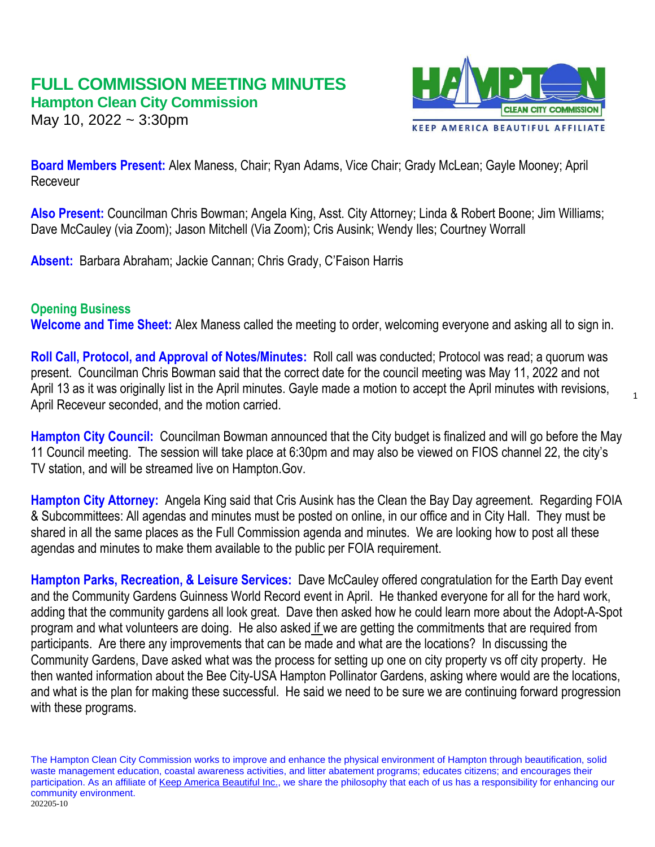# **FULL COMMISSION MEETING MINUTES Hampton Clean City Commission**

May 10, 2022 ~ 3:30pm



**Board Members Present:** Alex Maness, Chair; Ryan Adams, Vice Chair; Grady McLean; Gayle Mooney; April Receveur

**Also Present:** Councilman Chris Bowman; Angela King, Asst. City Attorney; Linda & Robert Boone; Jim Williams; Dave McCauley (via Zoom); Jason Mitchell (Via Zoom); Cris Ausink; Wendy Iles; Courtney Worrall

**Absent:** Barbara Abraham; Jackie Cannan; Chris Grady, C'Faison Harris

# **Opening Business**

**Welcome and Time Sheet:** Alex Maness called the meeting to order, welcoming everyone and asking all to sign in.

**Roll Call, Protocol, and Approval of Notes/Minutes:** Roll call was conducted; Protocol was read; a quorum was present. Councilman Chris Bowman said that the correct date for the council meeting was May 11, 2022 and not April 13 as it was originally list in the April minutes. Gayle made a motion to accept the April minutes with revisions, April Receveur seconded, and the motion carried.

**Hampton City Council:** Councilman Bowman announced that the City budget is finalized and will go before the May 11 Council meeting. The session will take place at 6:30pm and may also be viewed on FIOS channel 22, the city's TV station, and will be streamed live on Hampton.Gov.

**Hampton City Attorney:** Angela King said that Cris Ausink has the Clean the Bay Day agreement. Regarding FOIA & Subcommittees: All agendas and minutes must be posted on online, in our office and in City Hall. They must be shared in all the same places as the Full Commission agenda and minutes. We are looking how to post all these agendas and minutes to make them available to the public per FOIA requirement.

**Hampton Parks, Recreation, & Leisure Services:** Dave McCauley offered congratulation for the Earth Day event and the Community Gardens Guinness World Record event in April. He thanked everyone for all for the hard work, adding that the community gardens all look great. Dave then asked how he could learn more about the Adopt-A-Spot program and what volunteers are doing. He also asked if we are getting the commitments that are required from participants. Are there any improvements that can be made and what are the locations? In discussing the Community Gardens, Dave asked what was the process for setting up one on city property vs off city property. He then wanted information about the Bee City-USA Hampton Pollinator Gardens, asking where would are the locations, and what is the plan for making these successful. He said we need to be sure we are continuing forward progression with these programs.

The Hampton Clean City Commission works to improve and enhance the physical environment of Hampton through beautification, solid waste management education, coastal awareness activities, and litter abatement programs; educates citizens; and encourages their participation. As an affiliate of [Keep America Beautiful Inc.,](http://www.kab.org/) we share the philosophy that each of us has a responsibility for enhancing our community environment. 202205-10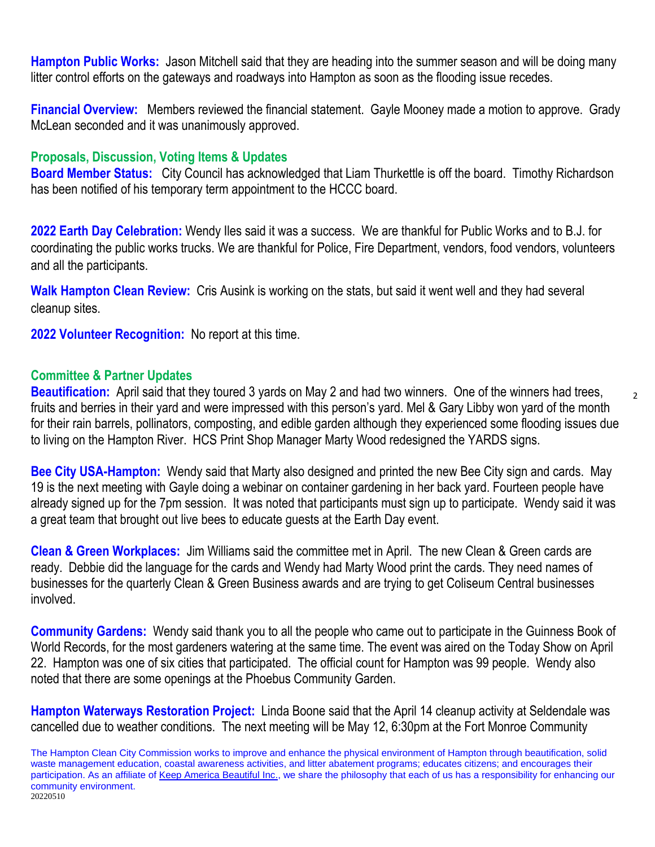**Hampton Public Works:** Jason Mitchell said that they are heading into the summer season and will be doing many litter control efforts on the gateways and roadways into Hampton as soon as the flooding issue recedes.

**Financial Overview:** Members reviewed the financial statement. Gayle Mooney made a motion to approve. Grady McLean seconded and it was unanimously approved.

## **Proposals, Discussion, Voting Items & Updates**

**Board Member Status:** City Council has acknowledged that Liam Thurkettle is off the board. Timothy Richardson has been notified of his temporary term appointment to the HCCC board.

**2022 Earth Day Celebration:** Wendy Iles said it was a success. We are thankful for Public Works and to B.J. for coordinating the public works trucks. We are thankful for Police, Fire Department, vendors, food vendors, volunteers and all the participants.

**Walk Hampton Clean Review:** Cris Ausink is working on the stats, but said it went well and they had several cleanup sites.

**2022 Volunteer Recognition:** No report at this time.

#### **Committee & Partner Updates**

**Beautification:** April said that they toured 3 yards on May 2 and had two winners. One of the winners had trees, fruits and berries in their yard and were impressed with this person's yard. Mel & Gary Libby won yard of the month for their rain barrels, pollinators, composting, and edible garden although they experienced some flooding issues due to living on the Hampton River. HCS Print Shop Manager Marty Wood redesigned the YARDS signs.

**Bee City USA-Hampton:** Wendy said that Marty also designed and printed the new Bee City sign and cards. May 19 is the next meeting with Gayle doing a webinar on container gardening in her back yard. Fourteen people have already signed up for the 7pm session. It was noted that participants must sign up to participate. Wendy said it was a great team that brought out live bees to educate guests at the Earth Day event.

**Clean & Green Workplaces:** Jim Williams said the committee met in April. The new Clean & Green cards are ready. Debbie did the language for the cards and Wendy had Marty Wood print the cards. They need names of businesses for the quarterly Clean & Green Business awards and are trying to get Coliseum Central businesses involved.

**Community Gardens:** Wendy said thank you to all the people who came out to participate in the Guinness Book of World Records, for the most gardeners watering at the same time. The event was aired on the Today Show on April 22. Hampton was one of six cities that participated. The official count for Hampton was 99 people. Wendy also noted that there are some openings at the Phoebus Community Garden.

**Hampton Waterways Restoration Project:** Linda Boone said that the April 14 cleanup activity at Seldendale was cancelled due to weather conditions. The next meeting will be May 12, 6:30pm at the Fort Monroe Community

The Hampton Clean City Commission works to improve and enhance the physical environment of Hampton through beautification, solid waste management education, coastal awareness activities, and litter abatement programs; educates citizens; and encourages their participation. As an affiliate of [Keep America Beautiful Inc.,](http://www.kab.org/) we share the philosophy that each of us has a responsibility for enhancing our community environment. 20220510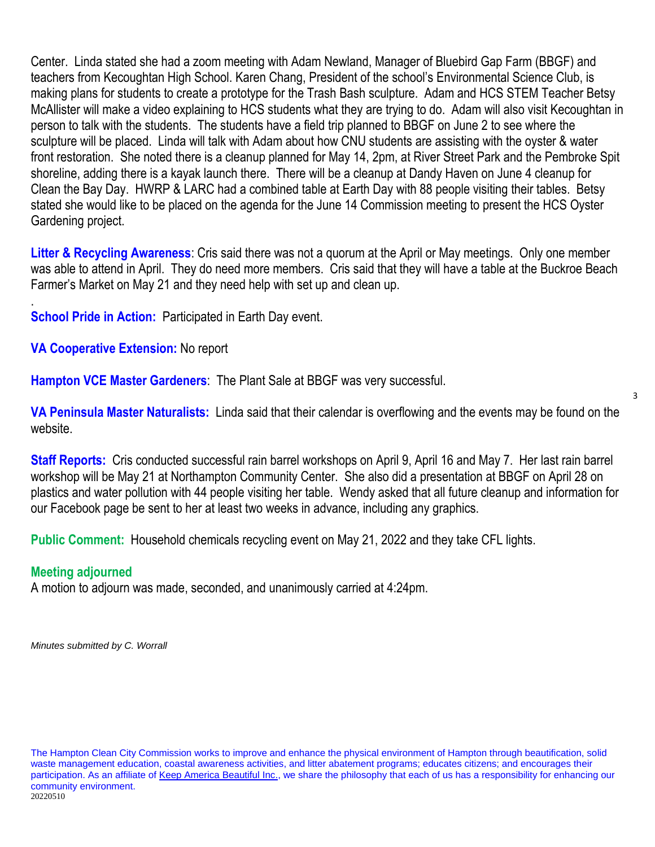Center. Linda stated she had a zoom meeting with Adam Newland, Manager of Bluebird Gap Farm (BBGF) and teachers from Kecoughtan High School. Karen Chang, President of the school's Environmental Science Club, is making plans for students to create a prototype for the Trash Bash sculpture. Adam and HCS STEM Teacher Betsy McAllister will make a video explaining to HCS students what they are trying to do. Adam will also visit Kecoughtan in person to talk with the students. The students have a field trip planned to BBGF on June 2 to see where the sculpture will be placed. Linda will talk with Adam about how CNU students are assisting with the oyster & water front restoration. She noted there is a cleanup planned for May 14, 2pm, at River Street Park and the Pembroke Spit shoreline, adding there is a kayak launch there. There will be a cleanup at Dandy Haven on June 4 cleanup for Clean the Bay Day. HWRP & LARC had a combined table at Earth Day with 88 people visiting their tables. Betsy stated she would like to be placed on the agenda for the June 14 Commission meeting to present the HCS Oyster Gardening project.

**Litter & Recycling Awareness**: Cris said there was not a quorum at the April or May meetings. Only one member was able to attend in April. They do need more members. Cris said that they will have a table at the Buckroe Beach Farmer's Market on May 21 and they need help with set up and clean up.

**School Pride in Action: Participated in Earth Day event.** 

**VA Cooperative Extension:** No report

**Hampton VCE Master Gardeners**: The Plant Sale at BBGF was very successful.

**VA Peninsula Master Naturalists:** Linda said that their calendar is overflowing and the events may be found on the website.

3

**Staff Reports:** Cris conducted successful rain barrel workshops on April 9, April 16 and May 7. Her last rain barrel workshop will be May 21 at Northampton Community Center. She also did a presentation at BBGF on April 28 on plastics and water pollution with 44 people visiting her table. Wendy asked that all future cleanup and information for our Facebook page be sent to her at least two weeks in advance, including any graphics.

**Public Comment:** Household chemicals recycling event on May 21, 2022 and they take CFL lights.

# **Meeting adjourned**

.

A motion to adjourn was made, seconded, and unanimously carried at 4:24pm.

*Minutes submitted by C. Worrall*

The Hampton Clean City Commission works to improve and enhance the physical environment of Hampton through beautification, solid waste management education, coastal awareness activities, and litter abatement programs; educates citizens; and encourages their participation. As an affiliate of [Keep America Beautiful Inc.,](http://www.kab.org/) we share the philosophy that each of us has a responsibility for enhancing our community environment. 20220510